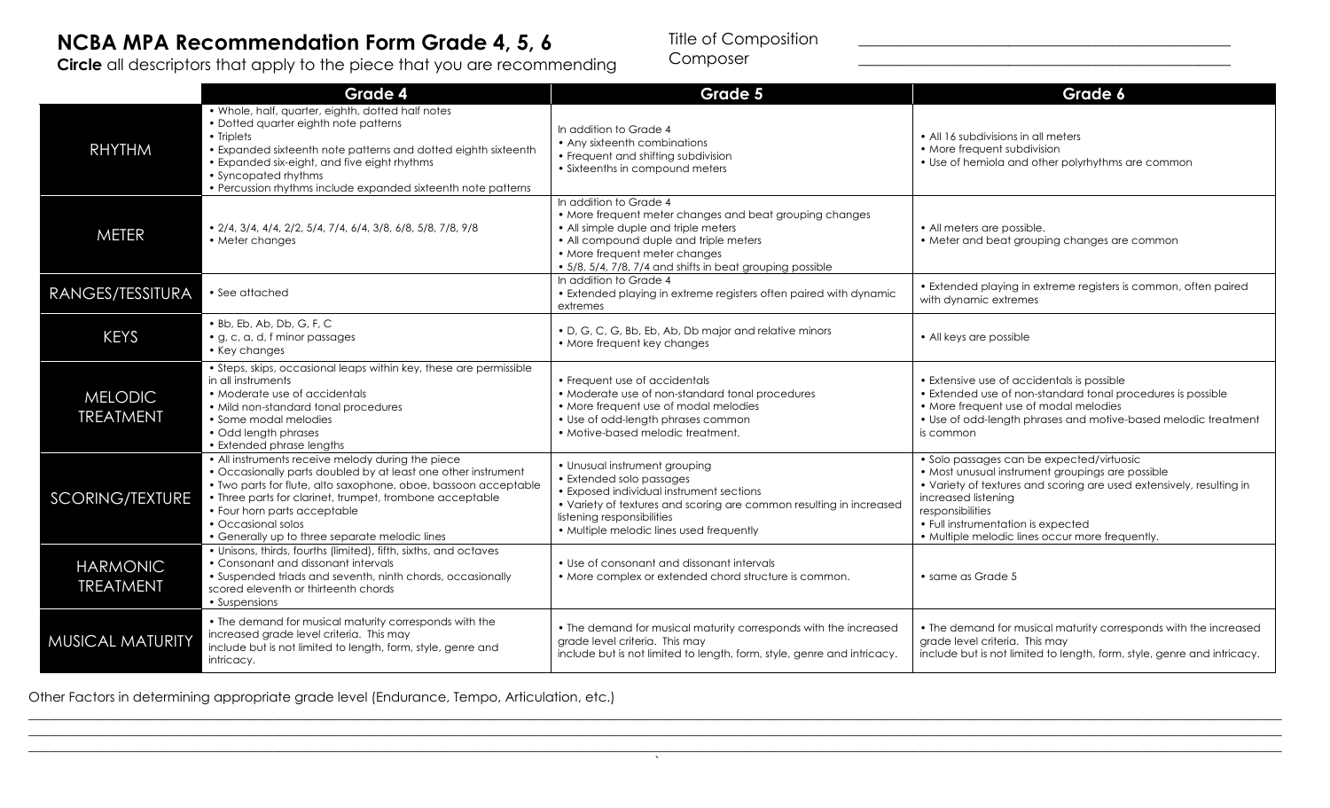## **NCBA MPA Recommendation Form Grade 4, 5, 6**

**Circle** all descriptors that apply to the piece that you are recommending

Title of Composition \_\_\_\_\_\_\_\_\_\_\_\_\_\_\_\_\_\_\_\_\_\_\_\_\_\_\_\_\_\_\_\_\_\_\_\_\_\_\_\_\_\_\_\_\_\_\_

Composer \_\_\_\_\_\_\_\_\_\_\_\_\_\_\_\_\_\_\_\_\_\_\_\_\_\_\_\_\_\_\_\_\_\_\_\_\_\_\_\_\_\_\_\_\_\_\_

|                                     | Grade 4                                                                                                                                                                                                                                                                                                                                                   | Grade 5                                                                                                                                                                                                                                                           | Grade 6                                                                                                                                                                                                                                                                                                   |
|-------------------------------------|-----------------------------------------------------------------------------------------------------------------------------------------------------------------------------------------------------------------------------------------------------------------------------------------------------------------------------------------------------------|-------------------------------------------------------------------------------------------------------------------------------------------------------------------------------------------------------------------------------------------------------------------|-----------------------------------------------------------------------------------------------------------------------------------------------------------------------------------------------------------------------------------------------------------------------------------------------------------|
| <b>RHYTHM</b>                       | • Whole, half, quarter, eighth, dotted half notes<br>· Dotted quarter eighth note patterns<br>• Triplets<br>• Expanded sixteenth note patterns and dotted eighth sixteenth<br>• Expanded six-eight, and five eight rhythms<br>• Syncopated rhythms<br>• Percussion rhythms include expanded sixteenth note patterns                                       | In addition to Grade 4<br>• Any sixteenth combinations<br>• Frequent and shifting subdivision<br>• Sixteenths in compound meters                                                                                                                                  | • All 16 subdivisions in all meters<br>• More frequent subdivision<br>• Use of hemiola and other polyrhythms are common                                                                                                                                                                                   |
| <b>METER</b>                        | $\bullet$ 2/4, 3/4, 4/4, 2/2, 5/4, 7/4, 6/4, 3/8, 6/8, 5/8, 7/8, 9/8<br>• Meter changes                                                                                                                                                                                                                                                                   | In addition to Grade 4<br>• More frequent meter changes and beat grouping changes<br>• All simple duple and triple meters<br>• All compound duple and triple meters<br>• More frequent meter changes<br>• 5/8, 5/4, 7/8, 7/4 and shifts in beat grouping possible | • All meters are possible.<br>• Meter and beat grouping changes are common                                                                                                                                                                                                                                |
| RANGES/TESSITURA                    | • See attached                                                                                                                                                                                                                                                                                                                                            | In addition to Grade 4<br>• Extended playing in extreme registers often paired with dynamic<br>extremes                                                                                                                                                           | • Extended playing in extreme registers is common, often paired<br>with dynamic extremes                                                                                                                                                                                                                  |
| <b>KEYS</b>                         | . Bb, Eb, Ab, Db, G, F, C<br>• g, c, a, d, f minor passages<br>• Key changes                                                                                                                                                                                                                                                                              | • D, G, C, G, Bb, Eb, Ab, Db major and relative minors<br>• More frequent key changes                                                                                                                                                                             | • All keys are possible                                                                                                                                                                                                                                                                                   |
| <b>MELODIC</b><br><b>TREATMENT</b>  | • Steps, skips, occasional leaps within key, these are permissible<br>in all instruments<br>• Moderate use of accidentals<br>• Mild non-standard tonal procedures<br>• Some modal melodies<br>• Odd length phrases<br>• Extended phrase lengths                                                                                                           | • Frequent use of accidentals<br>• Moderate use of non-standard tonal procedures<br>• More frequent use of modal melodies<br>• Use of odd-length phrases common<br>• Motive-based melodic treatment.                                                              | • Extensive use of accidentals is possible<br>• Extended use of non-standard tonal procedures is possible<br>• More frequent use of modal melodies<br>• Use of odd-length phrases and motive-based melodic treatment<br>is common                                                                         |
| <b>SCORING/TEXTURE</b>              | • All instruments receive melody during the piece<br>• Occasionally parts doubled by at least one other instrument<br>• Two parts for flute, alto saxophone, oboe, bassoon acceptable<br>• Three parts for clarinet, trumpet, trombone acceptable<br>• Four horn parts acceptable<br>• Occasional solos<br>• Generally up to three separate melodic lines | • Unusual instrument grouping<br>• Extended solo passages<br>• Exposed individual instrument sections<br>• Variety of textures and scoring are common resulting in increased<br>listening responsibilities<br>• Multiple melodic lines used frequently            | • Solo passages can be expected/virtuosic<br>• Most unusual instrument groupings are possible<br>• Variety of textures and scoring are used extensively, resulting in<br>increased listening<br>responsibilities<br>• Full instrumentation is expected<br>• Multiple melodic lines occur more frequently. |
| <b>HARMONIC</b><br><b>TREATMENT</b> | • Unisons, thirds, fourths (limited), fifth, sixths, and octaves<br>• Consonant and dissonant intervals<br>• Suspended triads and seventh, ninth chords, occasionally<br>scored eleventh or thirteenth chords<br>• Suspensions                                                                                                                            | • Use of consonant and dissonant intervals<br>• More complex or extended chord structure is common.                                                                                                                                                               | • same as Grade 5                                                                                                                                                                                                                                                                                         |
| MUSICAL MATURITY                    | • The demand for musical maturity corresponds with the<br>increased grade level criteria. This may<br>include but is not limited to length, form, style, genre and<br>intricacy.                                                                                                                                                                          | • The demand for musical maturity corresponds with the increased<br>grade level criteria. This may<br>include but is not limited to length, form, style, genre and intricacy.                                                                                     | • The demand for musical maturity corresponds with the increased<br>grade level criteria. This may<br>include but is not limited to length, form, style, genre and intricacy.                                                                                                                             |

\_\_\_\_\_\_\_\_\_\_\_\_\_\_\_\_\_\_\_\_\_\_\_\_\_\_\_\_\_\_\_\_\_\_\_\_\_\_\_\_\_\_\_\_\_\_\_\_\_\_\_\_\_\_\_\_\_\_\_\_\_\_\_\_\_\_\_\_\_\_\_\_\_\_\_\_\_\_\_\_\_\_\_\_\_\_\_\_\_\_\_\_\_\_\_\_\_\_\_\_\_\_\_\_\_\_\_\_\_\_\_\_\_\_\_\_\_\_\_\_\_\_\_\_\_\_\_\_\_\_\_\_\_\_\_\_\_\_\_\_\_\_\_\_\_\_\_\_\_\_\_\_\_\_\_\_\_\_\_\_\_\_\_\_\_\_\_\_\_\_\_\_\_\_\_\_\_\_\_\_\_\_\_\_\_\_\_\_\_\_ \_\_\_\_\_\_\_\_\_\_\_\_\_\_\_\_\_\_\_\_\_\_\_\_\_\_\_\_\_\_\_\_\_\_\_\_\_\_\_\_\_\_\_\_\_\_\_\_\_\_\_\_\_\_\_\_\_\_\_\_\_\_\_\_\_\_\_\_\_\_\_\_\_\_\_\_\_\_\_\_\_\_\_\_\_\_\_\_\_\_\_\_\_\_\_\_\_\_\_\_\_\_\_\_\_\_\_\_\_\_\_\_\_\_\_\_\_\_\_\_\_\_\_\_\_\_\_\_\_\_\_\_\_\_\_\_\_\_\_\_\_\_\_\_\_\_\_\_\_\_\_\_\_\_\_\_\_\_\_\_\_\_\_\_\_\_\_\_\_\_\_\_\_\_\_\_\_\_\_\_\_\_\_\_\_\_\_\_\_\_ \_\_\_\_\_\_\_\_\_\_\_\_\_\_\_\_\_\_\_\_\_\_\_\_\_\_\_\_\_\_\_\_\_\_\_\_\_\_\_\_\_\_\_\_\_\_\_\_\_\_\_\_\_\_\_\_\_\_\_\_\_\_\_\_\_\_\_\_\_\_\_\_\_\_\_\_\_\_\_\_\_\_\_\_\_\_\_\_\_\_\_\_\_\_\_\_\_\_\_\_\_\_\_\_\_\_\_\_\_\_\_\_\_\_\_\_\_\_\_\_\_\_\_\_\_\_\_\_\_\_\_\_\_\_\_\_\_\_\_\_\_\_\_\_\_\_\_\_\_\_\_\_\_\_\_\_\_\_\_\_\_\_\_\_\_\_\_\_\_\_\_\_\_\_\_\_\_\_\_\_\_\_\_\_\_\_\_\_\_\_  $\lambda$ 

Other Factors in determining appropriate grade level (Endurance, Tempo, Articulation, etc.)